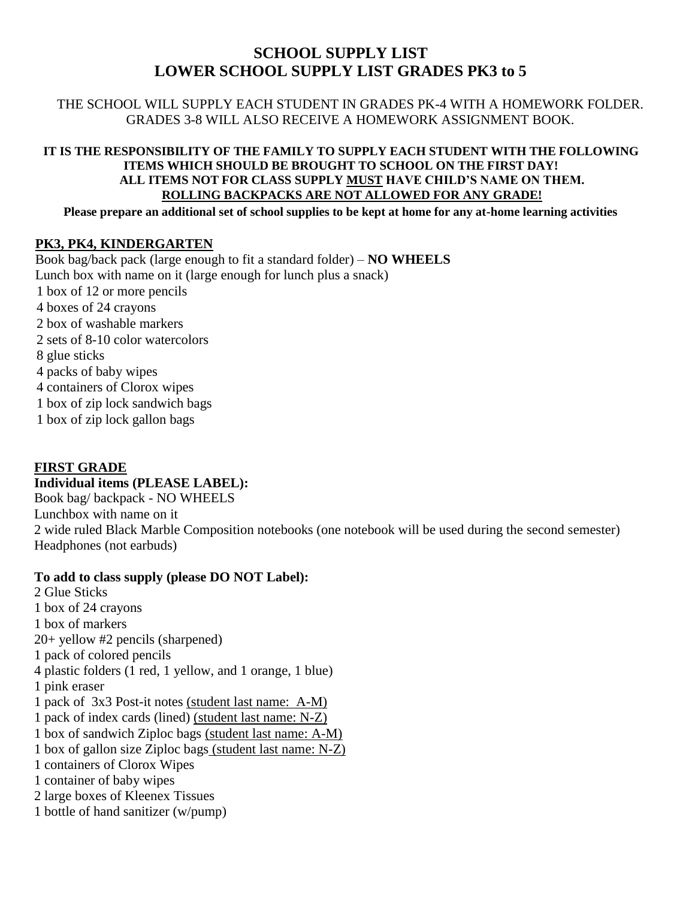## **SCHOOL SUPPLY LIST LOWER SCHOOL SUPPLY LIST GRADES PK3 to 5**

THE SCHOOL WILL SUPPLY EACH STUDENT IN GRADES PK-4 WITH A HOMEWORK FOLDER. GRADES 3-8 WILL ALSO RECEIVE A HOMEWORK ASSIGNMENT BOOK.

### **IT IS THE RESPONSIBILITY OF THE FAMILY TO SUPPLY EACH STUDENT WITH THE FOLLOWING ITEMS WHICH SHOULD BE BROUGHT TO SCHOOL ON THE FIRST DAY! ALL ITEMS NOT FOR CLASS SUPPLY MUST HAVE CHILD'S NAME ON THEM. ROLLING BACKPACKS ARE NOT ALLOWED FOR ANY GRADE!**

**Please prepare an additional set of school supplies to be kept at home for any at-home learning activities** 

## **PK3, PK4, KINDERGARTEN**

Book bag/back pack (large enough to fit a standard folder) – **NO WHEELS**  Lunch box with name on it (large enough for lunch plus a snack) 1 box of 12 or more pencils 4 boxes of 24 crayons 2 box of washable markers 2 sets of 8-10 color watercolors 8 glue sticks 4 packs of baby wipes 4 containers of Clorox wipes 1 box of zip lock sandwich bags 1 box of zip lock gallon bags

## **FIRST GRADE**

## **Individual items (PLEASE LABEL):**

Book bag/ backpack - NO WHEELS Lunchbox with name on it 2 wide ruled Black Marble Composition notebooks (one notebook will be used during the second semester) Headphones (not earbuds)

## **To add to class supply (please DO NOT Label):**

2 Glue Sticks 1 box of 24 crayons 1 box of markers 20+ yellow #2 pencils (sharpened) 1 pack of colored pencils 4 plastic folders (1 red, 1 yellow, and 1 orange, 1 blue) 1 pink eraser 1 pack of 3x3 Post-it notes (student last name: A-M) 1 pack of index cards (lined) (student last name: N-Z) 1 box of sandwich Ziploc bags (student last name: A-M) 1 box of gallon size Ziploc bags (student last name: N-Z) 1 containers of Clorox Wipes 1 container of baby wipes 2 large boxes of Kleenex Tissues 1 bottle of hand sanitizer (w/pump)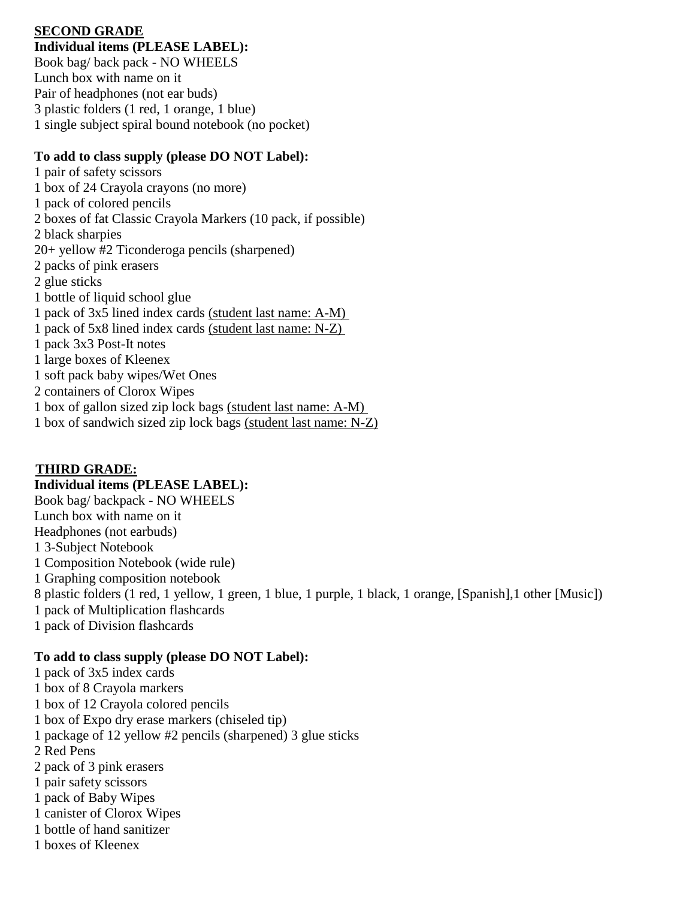## **SECOND GRADE**

**Individual items (PLEASE LABEL):** Book bag/ back pack - NO WHEELS Lunch box with name on it Pair of headphones (not ear buds) 3 plastic folders (1 red, 1 orange, 1 blue) 1 single subject spiral bound notebook (no pocket)

## **To add to class supply (please DO NOT Label):**

1 pair of safety scissors 1 box of 24 Crayola crayons (no more) 1 pack of colored pencils 2 boxes of fat Classic Crayola Markers (10 pack, if possible) 2 black sharpies 20+ yellow #2 Ticonderoga pencils (sharpened) 2 packs of pink erasers 2 glue sticks 1 bottle of liquid school glue 1 pack of 3x5 lined index cards (student last name: A-M) 1 pack of 5x8 lined index cards (student last name: N-Z) 1 pack 3x3 Post-It notes 1 large boxes of Kleenex 1 soft pack baby wipes/Wet Ones 2 containers of Clorox Wipes 1 box of gallon sized zip lock bags (student last name: A-M) 1 box of sandwich sized zip lock bags (student last name: N-Z)

## **THIRD GRADE:**

## **Individual items (PLEASE LABEL):**

Book bag/ backpack - NO WHEELS Lunch box with name on it Headphones (not earbuds) 1 3-Subject Notebook 1 Composition Notebook (wide rule) 1 Graphing composition notebook 8 plastic folders (1 red, 1 yellow, 1 green, 1 blue, 1 purple, 1 black, 1 orange, [Spanish],1 other [Music]) 1 pack of Multiplication flashcards 1 pack of Division flashcards

## **To add to class supply (please DO NOT Label):**

- 1 pack of 3x5 index cards
- 1 box of 8 Crayola markers
- 1 box of 12 Crayola colored pencils
- 1 box of Expo dry erase markers (chiseled tip)
- 1 package of 12 yellow #2 pencils (sharpened) 3 glue sticks
- 2 Red Pens
- 2 pack of 3 pink erasers
- 1 pair safety scissors
- 1 pack of Baby Wipes
- 1 canister of Clorox Wipes
- 1 bottle of hand sanitizer
- 1 boxes of Kleenex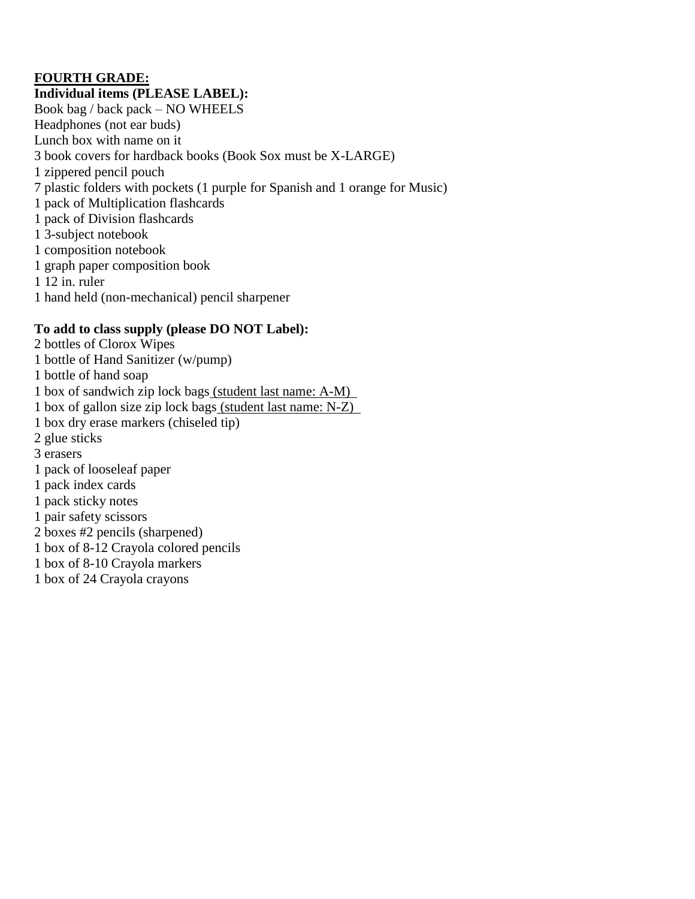## **FOURTH GRADE:**

**Individual items (PLEASE LABEL):** Book bag / back pack – NO WHEELS Headphones (not ear buds) Lunch box with name on it 3 book covers for hardback books (Book Sox must be X-LARGE) 1 zippered pencil pouch 7 plastic folders with pockets (1 purple for Spanish and 1 orange for Music) 1 pack of Multiplication flashcards 1 pack of Division flashcards 1 3-subject notebook 1 composition notebook 1 graph paper composition book 1 12 in. ruler 1 hand held (non-mechanical) pencil sharpener

## **To add to class supply (please DO NOT Label):**

2 bottles of Clorox Wipes 1 bottle of Hand Sanitizer (w/pump) 1 bottle of hand soap 1 box of sandwich zip lock bags (student last name: A-M) 1 box of gallon size zip lock bags (student last name: N-Z) 1 box dry erase markers (chiseled tip) 2 glue sticks 3 erasers 1 pack of looseleaf paper 1 pack index cards 1 pack sticky notes 1 pair safety scissors 2 boxes #2 pencils (sharpened) 1 box of 8-12 Crayola colored pencils 1 box of 8-10 Crayola markers 1 box of 24 Crayola crayons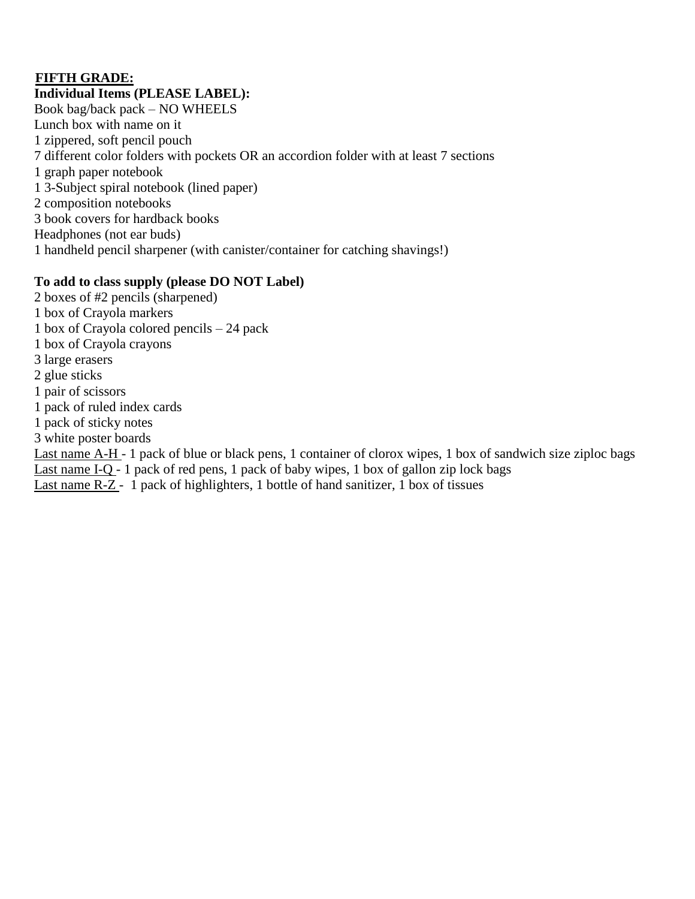## **FIFTH GRADE:**

**Individual Items (PLEASE LABEL):** Book bag/back pack – NO WHEELS Lunch box with name on it 1 zippered, soft pencil pouch 7 different color folders with pockets OR an accordion folder with at least 7 sections 1 graph paper notebook 1 3-Subject spiral notebook (lined paper) 2 composition notebooks 3 book covers for hardback books Headphones (not ear buds) 1 handheld pencil sharpener (with canister/container for catching shavings!)

## **To add to class supply (please DO NOT Label)**

- 2 boxes of #2 pencils (sharpened)
- 1 box of Crayola markers
- 1 box of Crayola colored pencils 24 pack
- 1 box of Crayola crayons
- 3 large erasers
- 2 glue sticks
- 1 pair of scissors
- 1 pack of ruled index cards
- 1 pack of sticky notes
- 3 white poster boards

Last name A-H - 1 pack of blue or black pens, 1 container of clorox wipes, 1 box of sandwich size ziploc bags

Last name I-Q - 1 pack of red pens, 1 pack of baby wipes, 1 box of gallon zip lock bags

# Last name R-Z - 1 pack of highlighters, 1 bottle of hand sanitizer, 1 box of tissues